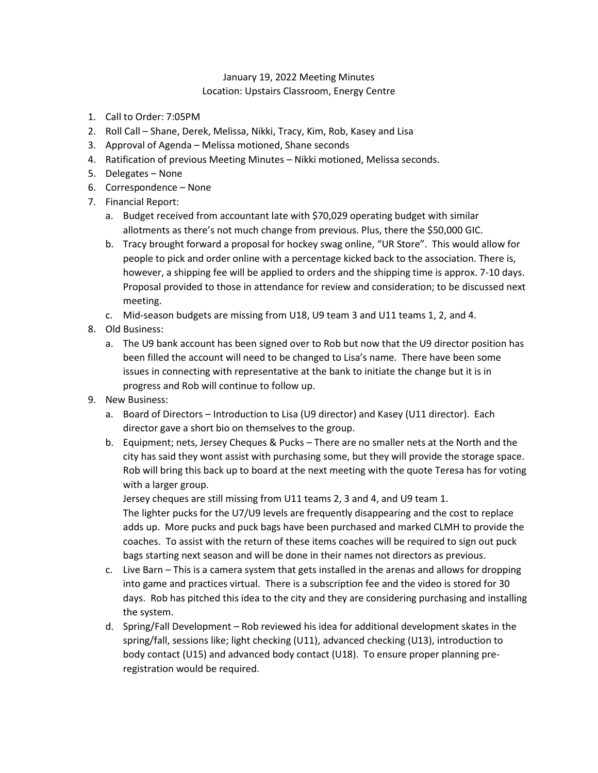## January 19, 2022 Meeting Minutes Location: Upstairs Classroom, Energy Centre

- 1. Call to Order: 7:05PM
- 2. Roll Call Shane, Derek, Melissa, Nikki, Tracy, Kim, Rob, Kasey and Lisa
- 3. Approval of Agenda Melissa motioned, Shane seconds
- 4. Ratification of previous Meeting Minutes Nikki motioned, Melissa seconds.
- 5. Delegates None
- 6. Correspondence None
- 7. Financial Report:
	- a. Budget received from accountant late with \$70,029 operating budget with similar allotments as there's not much change from previous. Plus, there the \$50,000 GIC.
	- b. Tracy brought forward a proposal for hockey swag online, "UR Store". This would allow for people to pick and order online with a percentage kicked back to the association. There is, however, a shipping fee will be applied to orders and the shipping time is approx. 7-10 days. Proposal provided to those in attendance for review and consideration; to be discussed next meeting.
	- c. Mid-season budgets are missing from U18, U9 team 3 and U11 teams 1, 2, and 4.
- 8. Old Business:
	- a. The U9 bank account has been signed over to Rob but now that the U9 director position has been filled the account will need to be changed to Lisa's name. There have been some issues in connecting with representative at the bank to initiate the change but it is in progress and Rob will continue to follow up.
- 9. New Business:
	- a. Board of Directors Introduction to Lisa (U9 director) and Kasey (U11 director). Each director gave a short bio on themselves to the group.
	- b. Equipment; nets, Jersey Cheques & Pucks There are no smaller nets at the North and the city has said they wont assist with purchasing some, but they will provide the storage space. Rob will bring this back up to board at the next meeting with the quote Teresa has for voting with a larger group.

Jersey cheques are still missing from U11 teams 2, 3 and 4, and U9 team 1. The lighter pucks for the U7/U9 levels are frequently disappearing and the cost to replace adds up. More pucks and puck bags have been purchased and marked CLMH to provide the coaches. To assist with the return of these items coaches will be required to sign out puck bags starting next season and will be done in their names not directors as previous.

- c. Live Barn This is a camera system that gets installed in the arenas and allows for dropping into game and practices virtual. There is a subscription fee and the video is stored for 30 days. Rob has pitched this idea to the city and they are considering purchasing and installing the system.
- d. Spring/Fall Development Rob reviewed his idea for additional development skates in the spring/fall, sessions like; light checking (U11), advanced checking (U13), introduction to body contact (U15) and advanced body contact (U18). To ensure proper planning preregistration would be required.